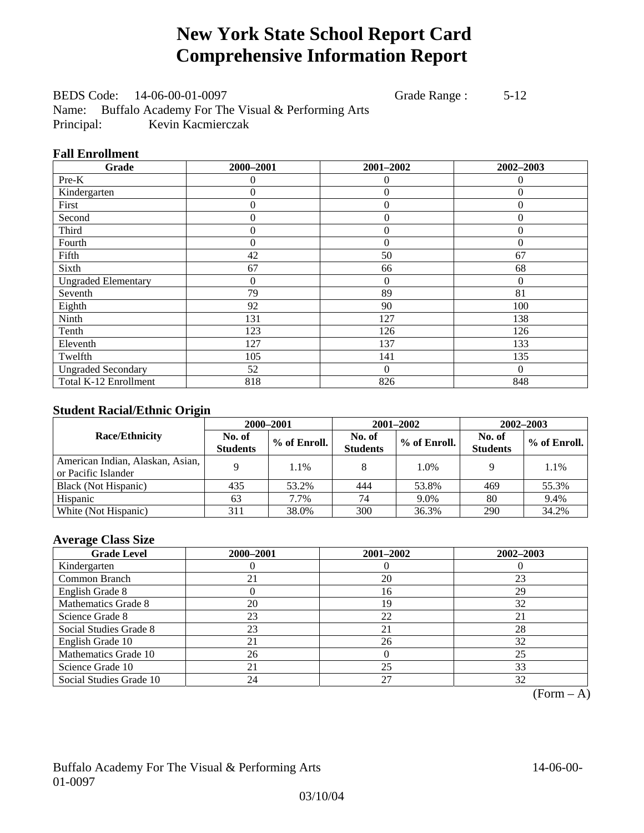# **New York State School Report Card Comprehensive Information Report**

BEDS Code: 14-06-00-01-0097 Grade Range : 5-12 Name: Buffalo Academy For The Visual & Performing Arts Principal: Kevin Kacmierczak

## **Fall Enrollment**

| Grade                      | 2000-2001      | 2001-2002      | 2002-2003 |
|----------------------------|----------------|----------------|-----------|
| Pre-K                      | 0              | 0              | $\theta$  |
| Kindergarten               | $\theta$       | $\theta$       | $\Omega$  |
| First                      | 0              | $\overline{0}$ | $\Omega$  |
| Second                     | 0              | $\theta$       | $\Omega$  |
| Third                      | 0              | $\overline{0}$ | $\theta$  |
| Fourth                     | 0              | $\theta$       | $\Omega$  |
| Fifth                      | 42             | 50             | 67        |
| Sixth                      | 67             | 66             | 68        |
| <b>Ungraded Elementary</b> | $\overline{0}$ | $\theta$       | $\theta$  |
| Seventh                    | 79             | 89             | 81        |
| Eighth                     | 92             | 90             | 100       |
| Ninth                      | 131            | 127            | 138       |
| Tenth                      | 123            | 126            | 126       |
| Eleventh                   | 127            | 137            | 133       |
| Twelfth                    | 105            | 141            | 135       |
| <b>Ungraded Secondary</b>  | 52             | $\theta$       | $\Omega$  |
| Total K-12 Enrollment      | 818            | 826            | 848       |

## **Student Racial/Ethnic Origin**

|                                                         |                           | 2000-2001    | 2001-2002                 |              | $2002 - 2003$             |                |
|---------------------------------------------------------|---------------------------|--------------|---------------------------|--------------|---------------------------|----------------|
| <b>Race/Ethnicity</b>                                   | No. of<br><b>Students</b> | % of Enroll. | No. of<br><b>Students</b> | % of Enroll. | No. of<br><b>Students</b> | $%$ of Enroll. |
| American Indian, Alaskan, Asian,<br>or Pacific Islander |                           | 1.1%         |                           | 1.0%         |                           | 1.1%           |
| Black (Not Hispanic)                                    | 435                       | 53.2%        | 444                       | 53.8%        | 469                       | 55.3%          |
| Hispanic                                                | 63                        | 7.7%         | 74                        | 9.0%         | 80                        | 9.4%           |
| White (Not Hispanic)                                    | 311                       | 38.0%        | 300                       | 36.3%        | 290                       | 34.2%          |

## **Average Class Size**

| <b>Grade Level</b>      | 2000-2001 | 2001-2002 | $2002 - 2003$ |
|-------------------------|-----------|-----------|---------------|
| Kindergarten            |           |           |               |
| Common Branch           | 21        | 20        | 23            |
| English Grade 8         |           | 16        | 29            |
| Mathematics Grade 8     | 20        | 19        | 32            |
| Science Grade 8         | 23        | 22        | 21            |
| Social Studies Grade 8  | 23        | 21        | 28            |
| English Grade 10        |           | 26        | 32            |
| Mathematics Grade 10    | 26        |           | 25            |
| Science Grade 10        | 21        | 25        | 33            |
| Social Studies Grade 10 | 24        | 27        | 32            |

 $(Form - A)$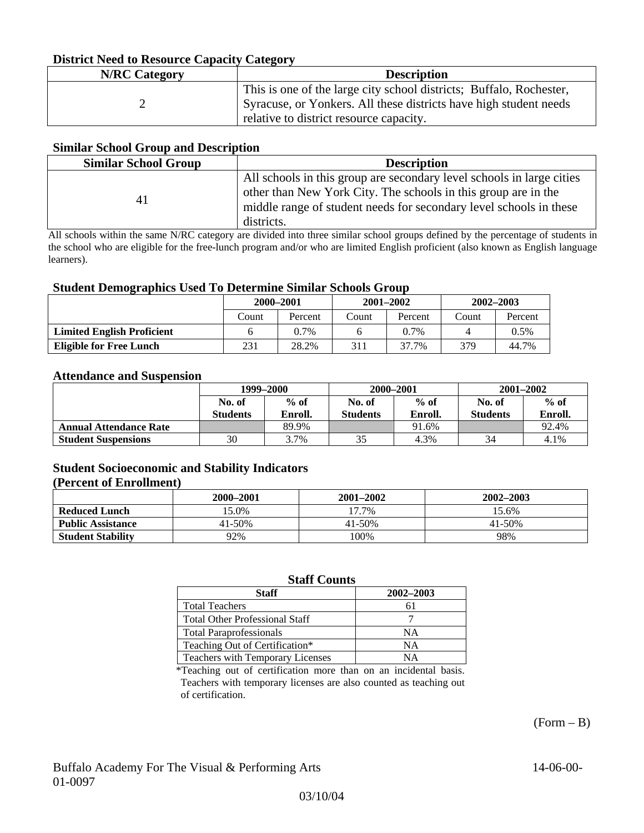## **District Need to Resource Capacity Category**

| <b>N/RC</b> Category | <b>Description</b>                                                                                                                                                                  |
|----------------------|-------------------------------------------------------------------------------------------------------------------------------------------------------------------------------------|
|                      | This is one of the large city school districts; Buffalo, Rochester,<br>Syracuse, or Yonkers. All these districts have high student needs<br>relative to district resource capacity. |

### **Similar School Group and Description**

| <b>Similar School Group</b> | <b>Description</b>                                                                                                                                                                                                          |
|-----------------------------|-----------------------------------------------------------------------------------------------------------------------------------------------------------------------------------------------------------------------------|
| 41                          | All schools in this group are secondary level schools in large cities<br>other than New York City. The schools in this group are in the<br>middle range of student needs for secondary level schools in these<br>districts. |

All schools within the same N/RC category are divided into three similar school groups defined by the percentage of students in the school who are eligible for the free-lunch program and/or who are limited English proficient (also known as English language learners).

### **Student Demographics Used To Determine Similar Schools Group**

| -                                 | 2000-2001 |         |       | $2001 - 2002$ | $2002 - 2003$ |         |
|-----------------------------------|-----------|---------|-------|---------------|---------------|---------|
|                                   | Count     | Percent | Count | Percent       | Count         | Percent |
| <b>Limited English Proficient</b> |           | $0.7\%$ |       | $0.7\%$       |               | 0.5%    |
| <b>Eligible for Free Lunch</b>    | 231       | 28.2%   | 311   | 37.7%         | 379           | 44.7%   |

#### **Attendance and Suspension**

|                               | 1999–2000                 |                   |                           | 2000-2001         | $2001 - 2002$             |                   |
|-------------------------------|---------------------------|-------------------|---------------------------|-------------------|---------------------------|-------------------|
|                               | No. of<br><b>Students</b> | $%$ of<br>Enroll. | No. of<br><b>Students</b> | $%$ of<br>Enroll. | No. of<br><b>Students</b> | $%$ of<br>Enroll. |
| <b>Annual Attendance Rate</b> |                           | 89.9%             |                           | 91.6%             |                           | 92.4%             |
| <b>Student Suspensions</b>    | 30                        | 3.7%              | 35                        | 4.3%              | 34                        | 4.1%              |

## **Student Socioeconomic and Stability Indicators**

#### **(Percent of Enrollment)**

|                          | 2000–2001 | 2001-2002 | 2002–2003  |
|--------------------------|-----------|-----------|------------|
| <b>Reduced Lunch</b>     | 5.0%      | 17.7%     | 15.6%      |
| <b>Public Assistance</b> | 41-50%    | 41-50%    | $41 - 50%$ |
| <b>Student Stability</b> | 92%       | 100%      | 98%        |

## **Staff Counts**

| <b>Staff</b>                          | 2002-2003 |
|---------------------------------------|-----------|
| <b>Total Teachers</b>                 | 61        |
| <b>Total Other Professional Staff</b> |           |
| <b>Total Paraprofessionals</b>        | NΑ        |
| Teaching Out of Certification*        | NΑ        |
| Teachers with Temporary Licenses      | NА        |

\*Teaching out of certification more than on an incidental basis. Teachers with temporary licenses are also counted as teaching out of certification.

 $(Form - B)$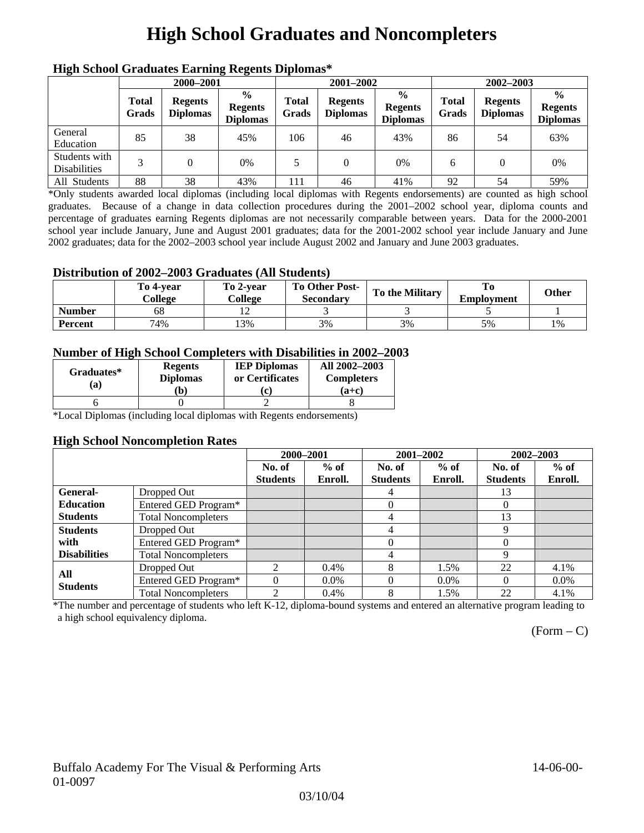# **High School Graduates and Noncompleters**

|                                      | mgn benoor Grauuates Larming Regents Diplomas |                                   |                                                    |                       |                                   |                                                    |                       |                                   |                                                    |  |
|--------------------------------------|-----------------------------------------------|-----------------------------------|----------------------------------------------------|-----------------------|-----------------------------------|----------------------------------------------------|-----------------------|-----------------------------------|----------------------------------------------------|--|
|                                      | 2000-2001                                     |                                   |                                                    |                       | 2001-2002                         |                                                    |                       | 2002-2003                         |                                                    |  |
|                                      | <b>Total</b><br>Grads                         | <b>Regents</b><br><b>Diplomas</b> | $\frac{0}{0}$<br><b>Regents</b><br><b>Diplomas</b> | <b>Total</b><br>Grads | <b>Regents</b><br><b>Diplomas</b> | $\frac{0}{0}$<br><b>Regents</b><br><b>Diplomas</b> | <b>Total</b><br>Grads | <b>Regents</b><br><b>Diplomas</b> | $\frac{0}{0}$<br><b>Regents</b><br><b>Diplomas</b> |  |
| General<br>Education                 | 85                                            | 38                                | 45%                                                | 106                   | 46                                | 43%                                                | 86                    | 54                                | 63%                                                |  |
| Students with<br><b>Disabilities</b> |                                               | 0                                 | 0%                                                 | 5                     | $\theta$                          | $0\%$                                              | 6                     |                                   | 0%                                                 |  |
| All Students                         | 88                                            | 38                                | 43%                                                | 111                   | 46                                | 41%                                                | 92                    | 54                                | 59%                                                |  |

## **High School Graduates Earning Regents Diplomas\***

\*Only students awarded local diplomas (including local diplomas with Regents endorsements) are counted as high school graduates. Because of a change in data collection procedures during the 2001–2002 school year, diploma counts and percentage of graduates earning Regents diplomas are not necessarily comparable between years. Data for the 2000-2001 school year include January, June and August 2001 graduates; data for the 2001-2002 school year include January and June 2002 graduates; data for the 2002–2003 school year include August 2002 and January and June 2003 graduates.

## **Distribution of 2002–2003 Graduates (All Students)**

|               | To 4-vear<br>College | To 2-vear<br>College | <b>To Other Post-</b><br>Secondary | <b>To the Military</b> | <b>Employment</b> | Other |
|---------------|----------------------|----------------------|------------------------------------|------------------------|-------------------|-------|
| <b>Number</b> | 68                   |                      |                                    |                        |                   |       |
| Percent       | 74%                  | 13%                  | 3%                                 | 3%                     | 5%                | 1%    |

## **Number of High School Completers with Disabilities in 2002–2003**

| Graduates*<br>(a) | <b>Regents</b><br><b>Diplomas</b> | <b>IEP Diplomas</b><br>or Certificates | All 2002-2003<br><b>Completers</b> |  |
|-------------------|-----------------------------------|----------------------------------------|------------------------------------|--|
|                   | b)                                | $\mathbf{c}$                           | $(a+c)$                            |  |
|                   |                                   |                                        |                                    |  |

\*Local Diplomas (including local diplomas with Regents endorsements)

#### **High School Noncompletion Rates**

|                     |                            | 2000-2001                   |         | 2001-2002       |         | 2002-2003       |         |
|---------------------|----------------------------|-----------------------------|---------|-----------------|---------|-----------------|---------|
|                     |                            | No. of                      | $%$ of  | No. of          | $%$ of  | No. of          | $%$ of  |
|                     |                            | <b>Students</b>             | Enroll. | <b>Students</b> | Enroll. | <b>Students</b> | Enroll. |
| <b>General-</b>     | Dropped Out                |                             |         | 4               |         | 13              |         |
| <b>Education</b>    | Entered GED Program*       |                             |         | 0               |         | $\theta$        |         |
| <b>Students</b>     | <b>Total Noncompleters</b> |                             |         | 4               |         | 13              |         |
| <b>Students</b>     | Dropped Out                |                             |         | 4               |         | 9               |         |
| with                | Entered GED Program*       |                             |         | $\theta$        |         | 0               |         |
| <b>Disabilities</b> | <b>Total Noncompleters</b> |                             |         | 4               |         | 9               |         |
| All                 | Dropped Out                | $\mathcal{D}_{\mathcal{L}}$ | $0.4\%$ | 8               | 1.5%    | 22              | 4.1%    |
| <b>Students</b>     | Entered GED Program*       | $\Omega$                    | $0.0\%$ |                 | $0.0\%$ | $\theta$        | $0.0\%$ |
|                     | <b>Total Noncompleters</b> | C                           | 0.4%    | 8               | 1.5%    | 22              | 4.1%    |

\*The number and percentage of students who left K-12, diploma-bound systems and entered an alternative program leading to a high school equivalency diploma.

 $(Form - C)$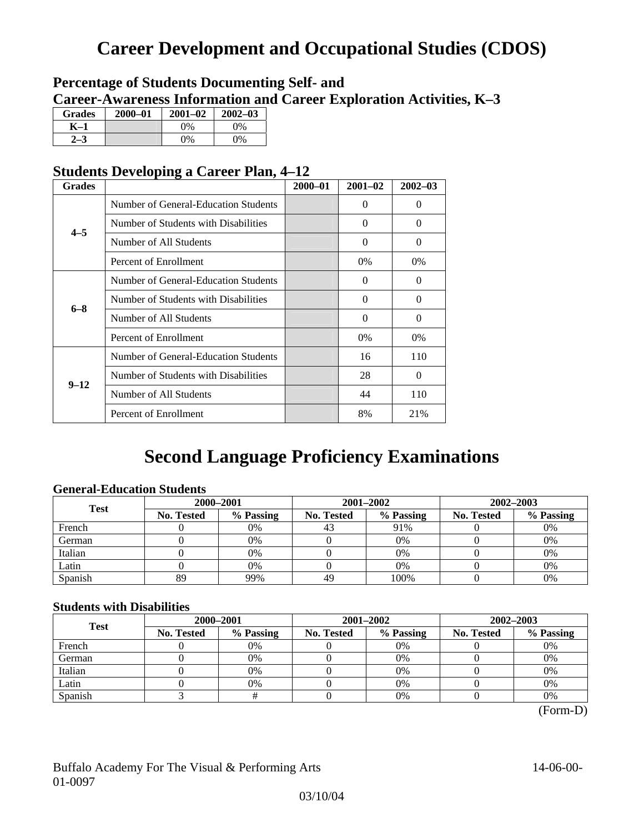# **Career Development and Occupational Studies (CDOS)**

## **Percentage of Students Documenting Self- and Career-Awareness Information and Career Exploration Activities, K–3**

| <b>Grades</b> | 2000-01 | $2001 - 02$ | $2002 - 03$ |
|---------------|---------|-------------|-------------|
| K–1           |         | $0\%$       | $0\%$       |
|               |         | $0\%$       | 9%          |

## **Students Developing a Career Plan, 4–12**

| <b>Grades</b> |                                      | $2000 - 01$ | $2001 - 02$ | $2002 - 03$ |
|---------------|--------------------------------------|-------------|-------------|-------------|
|               | Number of General-Education Students |             | $\Omega$    | $\theta$    |
| $4 - 5$       | Number of Students with Disabilities |             | 0           | $\Omega$    |
|               | Number of All Students               |             | 0           | $\Omega$    |
|               | Percent of Enrollment                |             | 0%          | 0%          |
|               | Number of General-Education Students |             | 0           | $\Omega$    |
| $6 - 8$       | Number of Students with Disabilities |             | $\theta$    | $\Omega$    |
|               | Number of All Students               |             | $\theta$    | $\Omega$    |
|               | Percent of Enrollment                |             | 0%          | 0%          |
|               | Number of General-Education Students |             | 16          | 110         |
| $9 - 12$      | Number of Students with Disabilities |             | 28          | $\Omega$    |
|               | Number of All Students               |             | 44          | 110         |
|               | Percent of Enrollment                |             | 8%          | 21%         |

# **Second Language Proficiency Examinations**

## **General-Education Students**

| <b>Test</b> | 2000-2001  |           |            | 2001-2002 | 2002-2003         |           |  |
|-------------|------------|-----------|------------|-----------|-------------------|-----------|--|
|             | No. Tested | % Passing | No. Tested | % Passing | <b>No. Tested</b> | % Passing |  |
| French      |            | 0%        | 43         | 91%       |                   | 0%        |  |
| German      |            | 0%        |            | 0%        |                   | 0%        |  |
| Italian     |            | 0%        |            | 0%        |                   | 0%        |  |
| Latin       |            | 0%        |            | $0\%$     |                   | 0%        |  |
| Spanish     | 89         | 99%       | 49         | 100%      |                   | 0%        |  |

## **Students with Disabilities**

| <b>Test</b> | 2000-2001         |           |                                                                                      |           | 2002-2003 |    |  |
|-------------|-------------------|-----------|--------------------------------------------------------------------------------------|-----------|-----------|----|--|
|             | <b>No. Tested</b> | % Passing | 2001-2002<br>% Passing<br>No. Tested<br><b>No. Tested</b><br>0%<br>0%<br>0%<br>$0\%$ | % Passing |           |    |  |
| French      |                   | 0%        |                                                                                      |           |           | 0% |  |
| German      |                   | 0%        |                                                                                      |           |           | 0% |  |
| Italian     |                   | 0%        |                                                                                      |           |           | 0% |  |
| Latin       |                   | 0%        |                                                                                      |           |           | 0% |  |
| Spanish     |                   |           |                                                                                      | 0%        |           | 0% |  |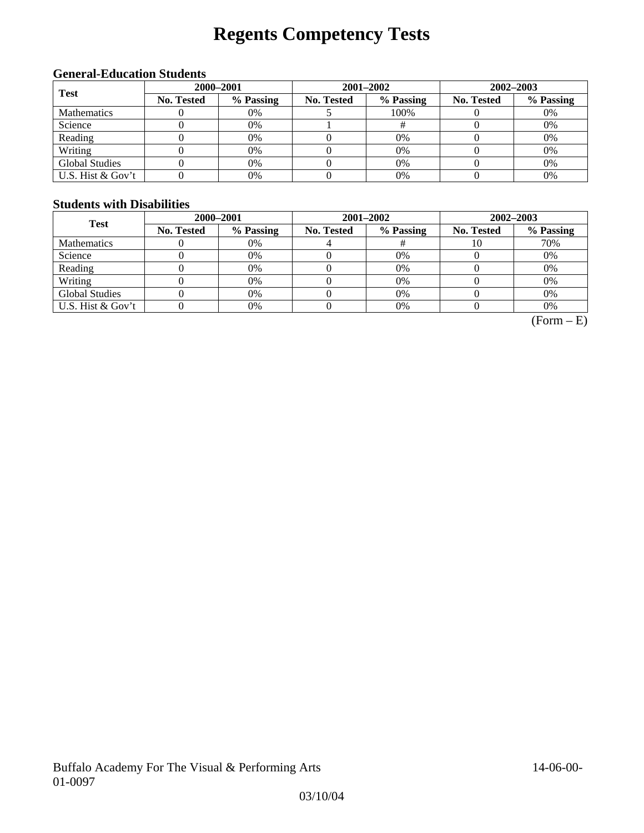# **Regents Competency Tests**

## **General-Education Students**

| <b>Test</b>           | 2000-2001         |           |            | 2001-2002 | 2002-2003         |           |  |
|-----------------------|-------------------|-----------|------------|-----------|-------------------|-----------|--|
|                       | <b>No. Tested</b> | % Passing | No. Tested | % Passing | <b>No. Tested</b> | % Passing |  |
| <b>Mathematics</b>    |                   | 0%        |            | 100%      |                   | 0%        |  |
| Science               |                   | 0%        |            |           |                   | 0%        |  |
| Reading               |                   | 0%        |            | $0\%$     |                   | 0%        |  |
| Writing               |                   | 0%        |            | $0\%$     |                   | 0%        |  |
| <b>Global Studies</b> |                   | 0%        |            | 0%        |                   | 0%        |  |
| U.S. Hist & Gov't     |                   | 0%        |            | 0%        |                   | 0%        |  |

## **Students with Disabilities**

| <b>Test</b>           | 2000-2001         |           |            | 2001-2002 | 2002-2003         |           |  |
|-----------------------|-------------------|-----------|------------|-----------|-------------------|-----------|--|
|                       | <b>No. Tested</b> | % Passing | No. Tested | % Passing | <b>No. Tested</b> | % Passing |  |
| <b>Mathematics</b>    |                   | 0%        |            |           | 10                | 70%       |  |
| Science               |                   | 0%        |            | 0%        |                   | 0%        |  |
| Reading               |                   | 0%        |            | 0%        |                   | 0%        |  |
| Writing               |                   | 0%        |            | 0%        |                   | 0%        |  |
| <b>Global Studies</b> |                   | 0%        |            | 0%        |                   | 0%        |  |
| U.S. Hist & Gov't     |                   | 0%        |            | 0%        |                   | 0%        |  |

 $(Form - E)$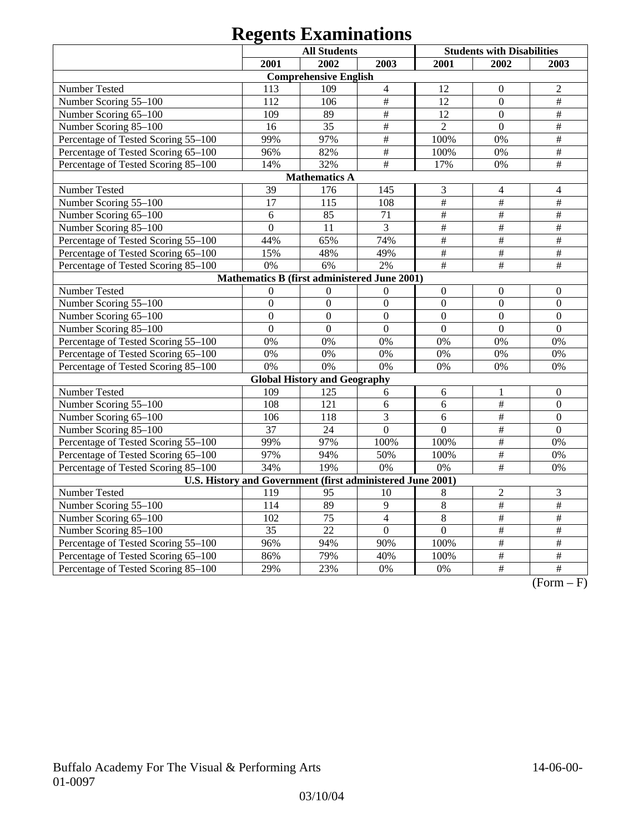# **Regents Examinations**

|                                                            |                  | <b>All Students</b>                 |                           |                           | <b>Students with Disabilities</b> |                           |  |
|------------------------------------------------------------|------------------|-------------------------------------|---------------------------|---------------------------|-----------------------------------|---------------------------|--|
|                                                            | 2001             | 2002                                | 2003                      | 2001                      | 2002                              | 2003                      |  |
|                                                            |                  | <b>Comprehensive English</b>        |                           |                           |                                   |                           |  |
| Number Tested                                              | 113              | 109                                 | $\overline{4}$            | 12                        | $\mathbf{0}$                      | $\sqrt{2}$                |  |
| Number Scoring 55-100                                      | 112              | 106                                 | $\frac{1}{2}$             | 12                        | $\overline{0}$                    | $\overline{\#}$           |  |
| Number Scoring 65-100                                      | 109              | 89                                  | $\overline{\overline{H}}$ | 12                        | $\overline{0}$                    | $\#$                      |  |
| Number Scoring 85-100                                      | 16               | 35                                  | $\overline{\overline{H}}$ | $\overline{2}$            | $\mathbf{0}$                      | $\frac{1}{2}$             |  |
| Percentage of Tested Scoring 55-100                        | 99%              | 97%                                 | $\overline{\overline{H}}$ | 100%                      | 0%                                | $\overline{\overline{H}}$ |  |
| Percentage of Tested Scoring 65-100                        | 96%              | 82%                                 | $\#$                      | 100%                      | 0%                                | $\frac{1}{2}$             |  |
| Percentage of Tested Scoring 85-100                        | 14%              | 32%                                 | $\#$                      | 17%                       | 0%                                | $\#$                      |  |
|                                                            |                  | <b>Mathematics A</b>                |                           |                           |                                   |                           |  |
| Number Tested                                              | 39               | 176                                 | 145                       | 3                         | $\overline{4}$                    | $\overline{4}$            |  |
| Number Scoring 55-100                                      | 17               | 115                                 | 108                       | $\overline{\#}$           | $\overline{\overline{H}}$         | $\overline{\#}$           |  |
| Number Scoring 65-100                                      | 6                | 85                                  | 71                        | $\overline{\overline{t}}$ | $\#$                              | $\#$                      |  |
| Number Scoring 85-100                                      | $\overline{0}$   | 11                                  | 3                         | $\#$                      | $\#$                              | $\#$                      |  |
| Percentage of Tested Scoring 55-100                        | 44%              | 65%                                 | 74%                       | #                         | $\overline{\overline{H}}$         | $\#$                      |  |
| Percentage of Tested Scoring 65-100                        | 15%              | 48%                                 | 49%                       | $\#$                      | $\#$                              | $\#$                      |  |
| Percentage of Tested Scoring 85-100                        | 0%               | 6%                                  | 2%                        | $\#$                      | $\#$                              | $\#$                      |  |
| Mathematics B (first administered June 2001)               |                  |                                     |                           |                           |                                   |                           |  |
| Number Tested                                              | $\boldsymbol{0}$ | $\overline{0}$                      | $\boldsymbol{0}$          | $\mathbf{0}$              | $\boldsymbol{0}$                  | $\overline{0}$            |  |
| Number Scoring 55-100                                      | $\overline{0}$   | $\mathbf{0}$                        | $\overline{0}$            | $\overline{0}$            | $\overline{0}$                    | $\mathbf{0}$              |  |
| Number Scoring 65-100                                      | $\overline{0}$   | $\overline{0}$                      | $\overline{0}$            | $\overline{0}$            | $\overline{0}$                    | $\mathbf{0}$              |  |
| Number Scoring 85-100                                      | $\overline{0}$   | $\mathbf{0}$                        | $\overline{0}$            | $\overline{0}$            | $\overline{0}$                    | $\mathbf{0}$              |  |
| Percentage of Tested Scoring 55-100                        | 0%               | 0%                                  | 0%                        | 0%                        | 0%                                | 0%                        |  |
| Percentage of Tested Scoring 65-100                        | 0%               | 0%                                  | 0%                        | 0%                        | 0%                                | 0%                        |  |
| Percentage of Tested Scoring 85-100                        | 0%               | 0%                                  | 0%                        | 0%                        | 0%                                | 0%                        |  |
|                                                            |                  | <b>Global History and Geography</b> |                           |                           |                                   |                           |  |
| Number Tested                                              | 109              | 125                                 | 6                         | 6                         | 1                                 | $\boldsymbol{0}$          |  |
| Number Scoring 55-100                                      | 108              | 121                                 | 6                         | 6                         | $\#$                              | $\boldsymbol{0}$          |  |
| Number Scoring 65-100                                      | 106              | 118                                 | $\overline{3}$            | 6                         | $\overline{\overline{H}}$         | $\overline{0}$            |  |
| Number Scoring 85-100                                      | $\overline{37}$  | 24                                  | $\overline{0}$            | $\mathbf{0}$              | $\#$                              | $\mathbf{0}$              |  |
| Percentage of Tested Scoring 55-100                        | 99%              | 97%                                 | 100%                      | 100%                      | $\overline{\#}$                   | 0%                        |  |
| Percentage of Tested Scoring 65-100                        | 97%              | 94%                                 | 50%                       | 100%                      | #                                 | 0%                        |  |
| Percentage of Tested Scoring 85-100                        | 34%              | 19%                                 | 0%                        | 0%                        | $\#$                              | 0%                        |  |
| U.S. History and Government (first administered June 2001) |                  |                                     |                           |                           |                                   |                           |  |
| Number Tested                                              | 119              | 95                                  | 10                        | 8                         | $\overline{2}$                    | $\mathfrak{Z}$            |  |
| Number Scoring 55-100                                      | 114              | 89                                  | 9                         | $\overline{8}$            | $\overline{\#}$                   | $\overline{\#}$           |  |
| Number Scoring 65-100                                      | 102              | 75                                  | $\overline{4}$            | $\overline{8}$            | #                                 | $\overline{\#}$           |  |
| Number Scoring 85-100                                      | $\overline{35}$  | $\overline{22}$                     | $\overline{0}$            | $\overline{0}$            | $\overline{\#}$                   | $\#$                      |  |
| Percentage of Tested Scoring 55-100                        | 96%              | 94%                                 | 90%                       | 100%                      | $\overline{\#}$                   | $\#$                      |  |
| Percentage of Tested Scoring 65-100                        | 86%              | 79%                                 | 40%                       | 100%                      | $\overline{\#}$                   | $\#$                      |  |
| Percentage of Tested Scoring 85-100                        | 29%              | 23%                                 | 0%                        | 0%                        | $\overline{\ddot{}}$              | $\#$                      |  |

 $(Form - F)$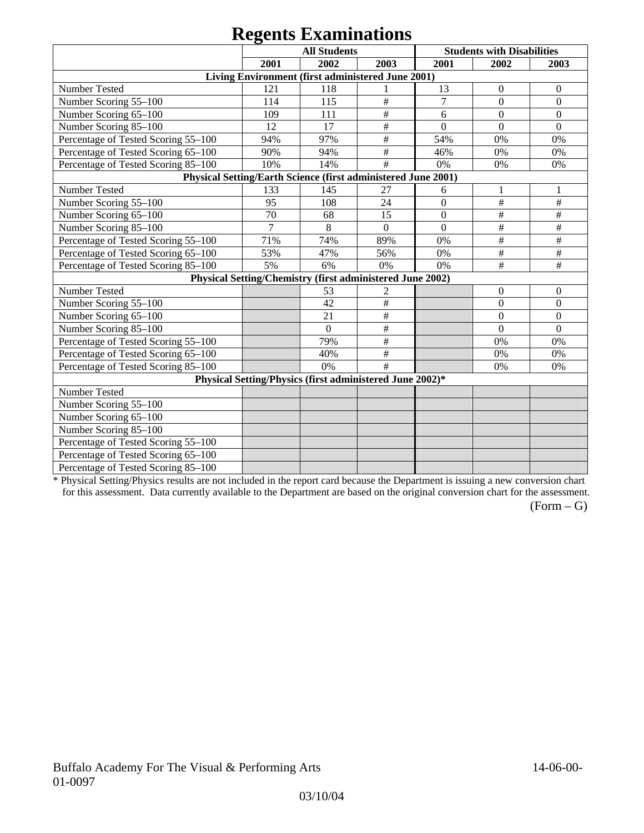# **Regents Examinations**

|                                                               |      | $\sim$                                                    |                           |                  |                                   |                  |
|---------------------------------------------------------------|------|-----------------------------------------------------------|---------------------------|------------------|-----------------------------------|------------------|
|                                                               |      | <b>All Students</b>                                       |                           |                  | <b>Students with Disabilities</b> |                  |
|                                                               | 2001 | 2002                                                      | 2003                      | 2001             | 2002                              | 2003             |
|                                                               |      | Living Environment (first administered June 2001)         |                           |                  |                                   |                  |
| Number Tested                                                 | 121  | 118                                                       |                           | 13               | $\mathbf{0}$                      | $\boldsymbol{0}$ |
| Number Scoring 55-100                                         | 114  | 115                                                       | #                         | $\overline{7}$   | $\overline{0}$                    | $\overline{0}$   |
| Number Scoring 65-100                                         | 109  | 111                                                       | $\#$                      | 6                | $\overline{0}$                    | $\mathbf{0}$     |
| Number Scoring 85-100                                         | 12   | 17                                                        | $\overline{\overline{H}}$ | $\overline{0}$   | $\Omega$                          | $\overline{0}$   |
| Percentage of Tested Scoring 55-100                           | 94%  | 97%                                                       | $\#$                      | 54%              | 0%                                | 0%               |
| Percentage of Tested Scoring 65-100                           | 90%  | 94%                                                       | $\#$                      | 46%              | 0%                                | 0%               |
| Percentage of Tested Scoring 85-100                           | 10%  | 14%                                                       | #                         | 0%               | 0%                                | 0%               |
| Physical Setting/Earth Science (first administered June 2001) |      |                                                           |                           |                  |                                   |                  |
| Number Tested                                                 | 133  | 145                                                       | 27                        | 6                |                                   |                  |
| Number Scoring 55-100                                         | 95   | 108                                                       | 24                        | $\overline{0}$   | $\#$                              | $\#$             |
| Number Scoring 65-100                                         | 70   | 68                                                        | 15                        | $\boldsymbol{0}$ | $\#$                              | $\#$             |
| Number Scoring 85-100                                         | 7    | 8                                                         | $\Omega$                  | $\Omega$         | $\#$                              | $\#$             |
| Percentage of Tested Scoring 55-100                           | 71%  | 74%                                                       | 89%                       | 0%               | $\#$                              | $\#$             |
| Percentage of Tested Scoring 65-100                           | 53%  | 47%                                                       | 56%                       | 0%               | $\#$                              | $\#$             |
| Percentage of Tested Scoring 85-100                           | 5%   | 6%                                                        | 0%                        | 0%               | #                                 | #                |
|                                                               |      | Physical Setting/Chemistry (first administered June 2002) |                           |                  |                                   |                  |
| Number Tested                                                 |      | 53                                                        | $\overline{c}$            |                  | $\mathbf{0}$                      | $\mathbf{0}$     |
| Number Scoring 55-100                                         |      | 42                                                        | $\#$                      |                  | $\mathbf{0}$                      | $\overline{0}$   |
| Number Scoring 65-100                                         |      | 21                                                        | $\#$                      |                  | $\boldsymbol{0}$                  | $\boldsymbol{0}$ |
| Number Scoring 85-100                                         |      | $\overline{0}$                                            | $\#$                      |                  | $\mathbf{0}$                      | $\mathbf{0}$     |
| Percentage of Tested Scoring 55-100                           |      | 79%                                                       | $\overline{\overline{H}}$ |                  | 0%                                | 0%               |
| Percentage of Tested Scoring 65-100                           |      | 40%                                                       | $\#$                      |                  | 0%                                | 0%               |
| Percentage of Tested Scoring 85-100                           |      | 0%                                                        | #                         |                  | 0%                                | 0%               |
|                                                               |      | Physical Setting/Physics (first administered June 2002)*  |                           |                  |                                   |                  |
| Number Tested                                                 |      |                                                           |                           |                  |                                   |                  |
| Number Scoring 55-100                                         |      |                                                           |                           |                  |                                   |                  |
| Number Scoring 65-100                                         |      |                                                           |                           |                  |                                   |                  |
| Number Scoring 85-100                                         |      |                                                           |                           |                  |                                   |                  |
| Percentage of Tested Scoring 55-100                           |      |                                                           |                           |                  |                                   |                  |
| Percentage of Tested Scoring 65-100                           |      |                                                           |                           |                  |                                   |                  |
| Percentage of Tested Scoring 85-100                           |      |                                                           |                           |                  |                                   |                  |

\* Physical Setting/Physics results are not included in the report card because the Department is issuing a new conversion chart for this assessment. Data currently available to the Department are based on the original conversion chart for the assessment.

 $(Form - G)$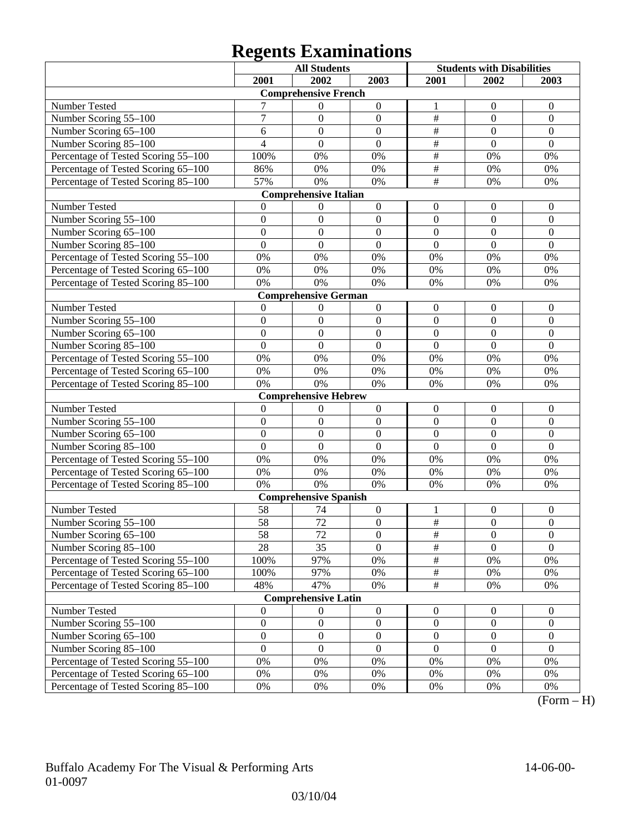# **Regents Examinations**

|                                     |                  | <b>All Students</b>          |                  | <b>Students with Disabilities</b> |                  |                  |
|-------------------------------------|------------------|------------------------------|------------------|-----------------------------------|------------------|------------------|
|                                     | 2001             | 2002                         | 2003             | 2001                              | 2002             | 2003             |
|                                     |                  | <b>Comprehensive French</b>  |                  |                                   |                  |                  |
| Number Tested                       |                  | $\boldsymbol{0}$             | $\boldsymbol{0}$ | 1                                 | $\mathbf{0}$     | $\mathbf{0}$     |
| Number Scoring 55-100               | $\boldsymbol{7}$ | $\boldsymbol{0}$             | $\boldsymbol{0}$ | $\frac{1}{2}$                     | $\mathbf{0}$     | $\mathbf{0}$     |
| Number Scoring 65-100               | 6                | $\overline{0}$               | $\mathbf{0}$     | $\overline{\#}$                   | $\mathbf{0}$     | $\mathbf{0}$     |
| Number Scoring 85-100               | $\overline{4}$   | $\Omega$                     | $\overline{0}$   | $\overline{\#}$                   | $\overline{0}$   | $\mathbf{0}$     |
| Percentage of Tested Scoring 55-100 | 100%             | 0%                           | 0%               | $\overline{\#}$                   | 0%               | 0%               |
| Percentage of Tested Scoring 65-100 | 86%              | 0%                           | 0%               | $\overline{\#}$                   | 0%               | 0%               |
| Percentage of Tested Scoring 85-100 | 57%              | 0%                           | 0%               | $\overline{\#}$                   | 0%               | 0%               |
|                                     |                  | <b>Comprehensive Italian</b> |                  |                                   |                  |                  |
| Number Tested                       | $\Omega$         | $\boldsymbol{0}$             | $\boldsymbol{0}$ | $\mathbf{0}$                      | $\mathbf{0}$     | $\mathbf{0}$     |
| Number Scoring 55-100               | $\mathbf{0}$     | $\boldsymbol{0}$             | $\mathbf{0}$     | $\mathbf{0}$                      | $\Omega$         | $\Omega$         |
| Number Scoring 65-100               | $\overline{0}$   | $\boldsymbol{0}$             | $\boldsymbol{0}$ | $\boldsymbol{0}$                  | $\mathbf{0}$     | $\mathbf{0}$     |
| Number Scoring 85-100               | $\overline{0}$   | $\boldsymbol{0}$             | $\mathbf{0}$     | $\overline{0}$                    | $\mathbf{0}$     | $\mathbf{0}$     |
| Percentage of Tested Scoring 55-100 | 0%               | 0%                           | 0%               | 0%                                | 0%               | 0%               |
| Percentage of Tested Scoring 65-100 | 0%               | 0%                           | 0%               | 0%                                | 0%               | 0%               |
| Percentage of Tested Scoring 85-100 | 0%               | 0%                           | 0%               | 0%                                | 0%               | 0%               |
|                                     |                  | <b>Comprehensive German</b>  |                  |                                   |                  |                  |
| Number Tested                       | $\theta$         | $\boldsymbol{0}$             | $\boldsymbol{0}$ | $\boldsymbol{0}$                  | $\boldsymbol{0}$ | $\mathbf{0}$     |
| Number Scoring 55-100               | $\mathbf{0}$     | $\boldsymbol{0}$             | $\boldsymbol{0}$ | $\boldsymbol{0}$                  | $\boldsymbol{0}$ | $\mathbf{0}$     |
| Number Scoring 65-100               | $\overline{0}$   | $\overline{0}$               | $\mathbf{0}$     | $\overline{0}$                    | $\overline{0}$   | $\mathbf{0}$     |
| Number Scoring 85-100               | $\overline{0}$   | $\overline{0}$               | $\overline{0}$   | $\overline{0}$                    | $\overline{0}$   | $\overline{0}$   |
| Percentage of Tested Scoring 55-100 | 0%               | 0%                           | 0%               | 0%                                | 0%               | 0%               |
| Percentage of Tested Scoring 65-100 | 0%               | 0%                           | 0%               | 0%                                | 0%               | 0%               |
| Percentage of Tested Scoring 85-100 | 0%               | 0%                           | 0%               | 0%                                | 0%               | 0%               |
|                                     |                  | <b>Comprehensive Hebrew</b>  |                  |                                   |                  |                  |
| Number Tested                       | $\theta$         | $\boldsymbol{0}$             | $\boldsymbol{0}$ | $\boldsymbol{0}$                  | $\mathbf{0}$     | $\mathbf{0}$     |
| Number Scoring 55-100               | $\mathbf{0}$     | $\boldsymbol{0}$             | $\mathbf{0}$     | $\mathbf{0}$                      | $\mathbf{0}$     | $\mathbf{0}$     |
| Number Scoring 65-100               | $\overline{0}$   | $\boldsymbol{0}$             | $\mathbf{0}$     | $\boldsymbol{0}$                  | $\mathbf{0}$     | $\mathbf{0}$     |
| Number Scoring 85-100               | $\overline{0}$   | $\Omega$                     | $\mathbf{0}$     | $\overline{0}$                    | $\mathbf{0}$     | $\mathbf{0}$     |
| Percentage of Tested Scoring 55-100 | 0%               | 0%                           | 0%               | 0%                                | 0%               | 0%               |
| Percentage of Tested Scoring 65-100 | 0%               | 0%                           | 0%               | 0%                                | 0%               | 0%               |
| Percentage of Tested Scoring 85-100 | 0%               | 0%                           | 0%               | 0%                                | 0%               | 0%               |
|                                     |                  | <b>Comprehensive Spanish</b> |                  |                                   |                  |                  |
| Number Tested                       | 58               | 74                           | $\boldsymbol{0}$ | 1                                 | $\boldsymbol{0}$ | $\boldsymbol{0}$ |
| Number Scoring 55-100               | 58               | 72                           | $\boldsymbol{0}$ | $\#$                              | $\boldsymbol{0}$ | $\boldsymbol{0}$ |
| Number Scoring 65–100               | 58               | 72                           | $\boldsymbol{0}$ | $\#$                              | $\boldsymbol{0}$ | $\boldsymbol{0}$ |
| Number Scoring 85-100               | 28               | 35                           | $\overline{0}$   | $\overline{\#}$                   | $\overline{0}$   | $\overline{0}$   |
| Percentage of Tested Scoring 55-100 | 100%             | 97%                          | 0%               | $\frac{1}{2}$                     | 0%               | 0%               |
| Percentage of Tested Scoring 65-100 | 100%             | 97%                          | 0%               | $\frac{1}{2}$                     | 0%               | 0%               |
| Percentage of Tested Scoring 85-100 | 48%              | 47%                          | 0%               | $\overline{\#}$                   | 0%               | 0%               |
|                                     |                  | <b>Comprehensive Latin</b>   |                  |                                   |                  |                  |
| Number Tested                       | $\mathbf{0}$     | $\boldsymbol{0}$             | $\boldsymbol{0}$ | $\boldsymbol{0}$                  | $\boldsymbol{0}$ | $\boldsymbol{0}$ |
| Number Scoring 55-100               | $\boldsymbol{0}$ | $\boldsymbol{0}$             | $\boldsymbol{0}$ | $\boldsymbol{0}$                  | $\boldsymbol{0}$ | $\boldsymbol{0}$ |
| Number Scoring 65-100               | $\boldsymbol{0}$ | $\boldsymbol{0}$             | $\boldsymbol{0}$ | $\boldsymbol{0}$                  | $\boldsymbol{0}$ | $\boldsymbol{0}$ |
| Number Scoring 85-100               | $\mathbf{0}$     | $\boldsymbol{0}$             | $\boldsymbol{0}$ | $\mathbf{0}$                      | $\boldsymbol{0}$ | $\boldsymbol{0}$ |
| Percentage of Tested Scoring 55-100 | 0%               | 0%                           | 0%               | 0%                                | 0%               | 0%               |
| Percentage of Tested Scoring 65-100 | 0%               | 0%                           | 0%               | 0%                                | 0%               | 0%               |
| Percentage of Tested Scoring 85-100 | 0%               | 0%                           | 0%               | 0%                                | 0%               | 0%               |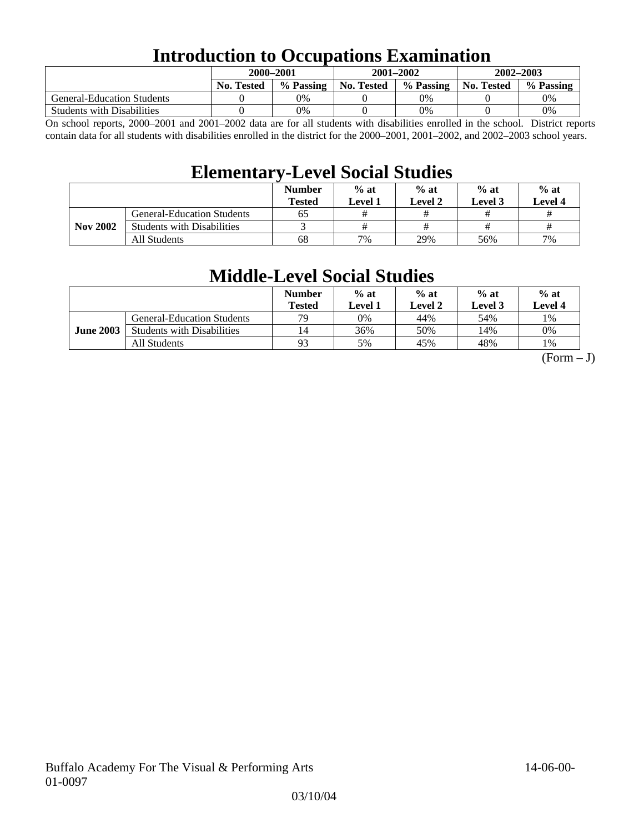## **Introduction to Occupations Examination**

|                                   | 2000–2001         |           |            | 2001-2002 | 2002-2003         |           |  |
|-----------------------------------|-------------------|-----------|------------|-----------|-------------------|-----------|--|
|                                   | <b>No. Tested</b> | % Passing | No. Tested | % Passing | <b>No. Tested</b> | % Passing |  |
| <b>General-Education Students</b> |                   | 0%        |            | 0%        |                   | 0%        |  |
| <b>Students with Disabilities</b> |                   | 0%        |            | 0%        |                   | 0%        |  |

On school reports, 2000–2001 and 2001–2002 data are for all students with disabilities enrolled in the school. District reports contain data for all students with disabilities enrolled in the district for the 2000–2001, 2001–2002, and 2002–2003 school years.

## **Elementary-Level Social Studies**

|                 |                                   | <b>Number</b><br><b>Tested</b> | $%$ at<br>Level 1 | $%$ at<br>Level 2 | $%$ at<br>Level 3 | $%$ at<br><b>Level 4</b> |
|-----------------|-----------------------------------|--------------------------------|-------------------|-------------------|-------------------|--------------------------|
|                 | <b>General-Education Students</b> | 65                             |                   |                   |                   |                          |
| <b>Nov 2002</b> | <b>Students with Disabilities</b> |                                |                   | #                 |                   |                          |
|                 | All Students                      | 68                             | 7%                | 29%               | 56%               | 7%                       |

## **Middle-Level Social Studies**

|                  |                                   | <b>Number</b><br>Tested | $%$ at<br>evel 1. | $%$ at<br>Level 2 | $%$ at<br>Level 3 | $%$ at<br>Level 4 |
|------------------|-----------------------------------|-------------------------|-------------------|-------------------|-------------------|-------------------|
| <b>June 2003</b> | <b>General-Education Students</b> | 70                      | 0%                | 44%               | 54%               | 1%                |
|                  | <b>Students with Disabilities</b> | 14                      | 36%               | 50%               | 14%               | 0%                |
|                  | All Students                      | 93                      | 5%                | 45%               | 48%               | 1%                |

 $(Form - J)$